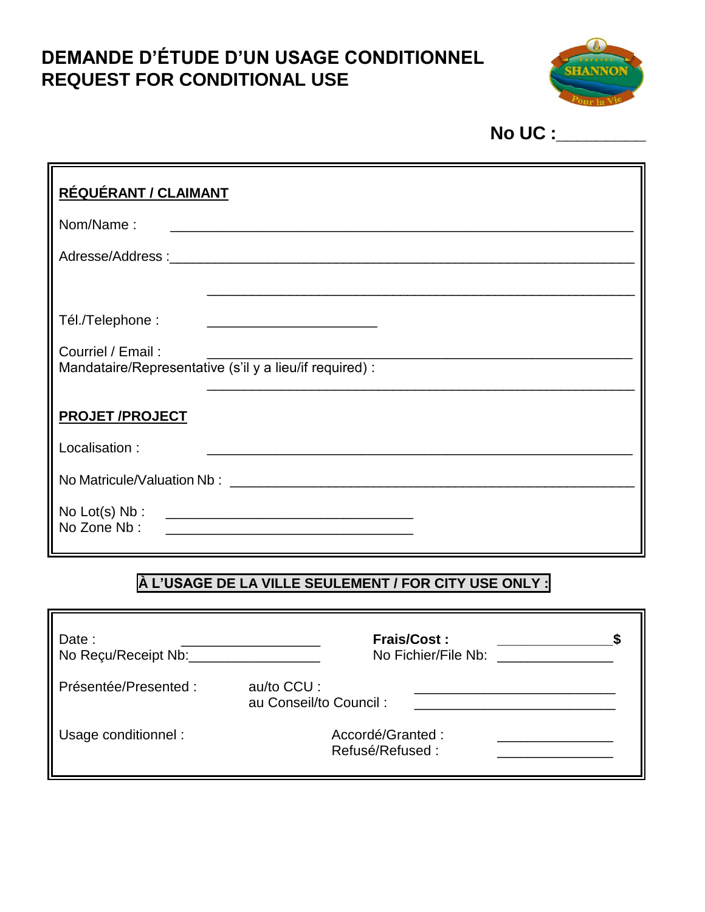# **DEMANDE D'ÉTUDE D'UN USAGE CONDITIONNEL REQUEST FOR CONDITIONAL USE**



**No UC :\_\_\_\_\_\_\_\_\_**

| RÉQUÉRANT / CLAIMANT                                                         |  |  |  |  |
|------------------------------------------------------------------------------|--|--|--|--|
| Nom/Name:                                                                    |  |  |  |  |
|                                                                              |  |  |  |  |
|                                                                              |  |  |  |  |
| Tél./Telephone:<br><u> 1999 - Johann John Stone, mars et al. (</u>           |  |  |  |  |
| Courriel / Email:<br>Mandataire/Representative (s'il y a lieu/if required) : |  |  |  |  |
| <b>PROJET/PROJECT</b>                                                        |  |  |  |  |
| Localisation:                                                                |  |  |  |  |
|                                                                              |  |  |  |  |
| No Zone Nb:<br><u> 1980 - John Stein, Amerikaansk politiker († 1901)</u>     |  |  |  |  |

#### **À L'USAGE DE LA VILLE SEULEMENT / FOR CITY USE ONLY :**

| Date:<br>No Reçu/Receipt Nb: | <b>Frais/Cost:</b><br>No Fichier/File Nb: |
|------------------------------|-------------------------------------------|
| Présentée/Presented:         | au/to CCU :<br>au Conseil/to Council:     |
| Usage conditionnel:          | Accordé/Granted :<br>Refusé/Refused:      |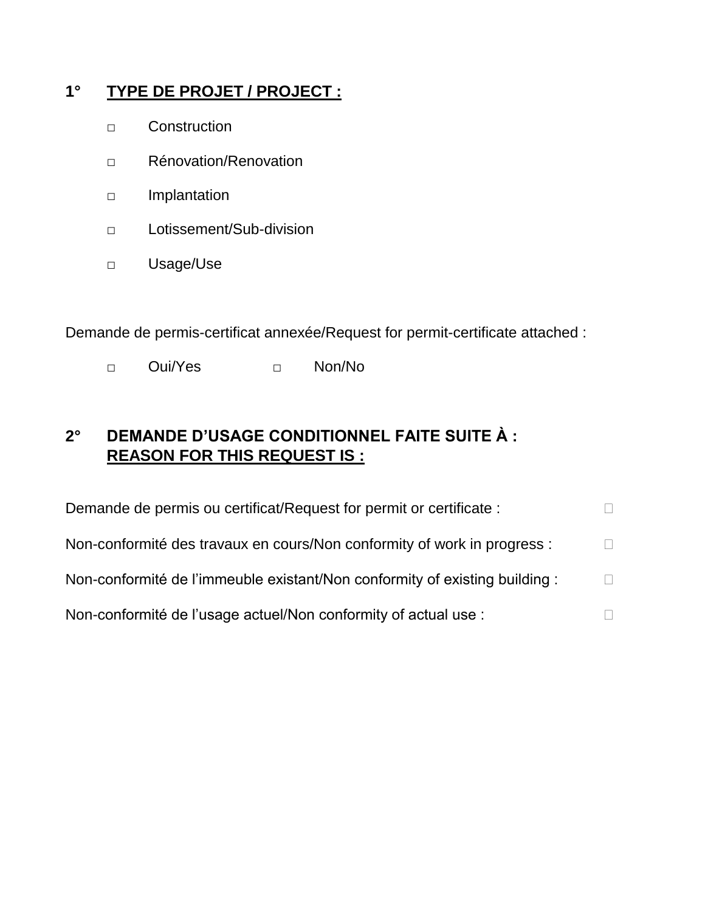## **1° TYPE DE PROJET / PROJECT :**

- □ Construction
- □ Rénovation/Renovation
- □ Implantation
- □ Lotissement/Sub-division
- □ Usage/Use

Demande de permis-certificat annexée/Request for permit-certificate attached :

□ Oui/Yes □ Non/No

## **2° DEMANDE D'USAGE CONDITIONNEL FAITE SUITE À : REASON FOR THIS REQUEST IS :**

| Demande de permis ou certificat/Request for permit or certificate :         |              |
|-----------------------------------------------------------------------------|--------------|
| Non-conformité des travaux en cours/Non conformity of work in progress :    | $\mathbb{R}$ |
| Non-conformité de l'immeuble existant/Non conformity of existing building : | $\Box$       |
| Non-conformité de l'usage actuel/Non conformity of actual use :             |              |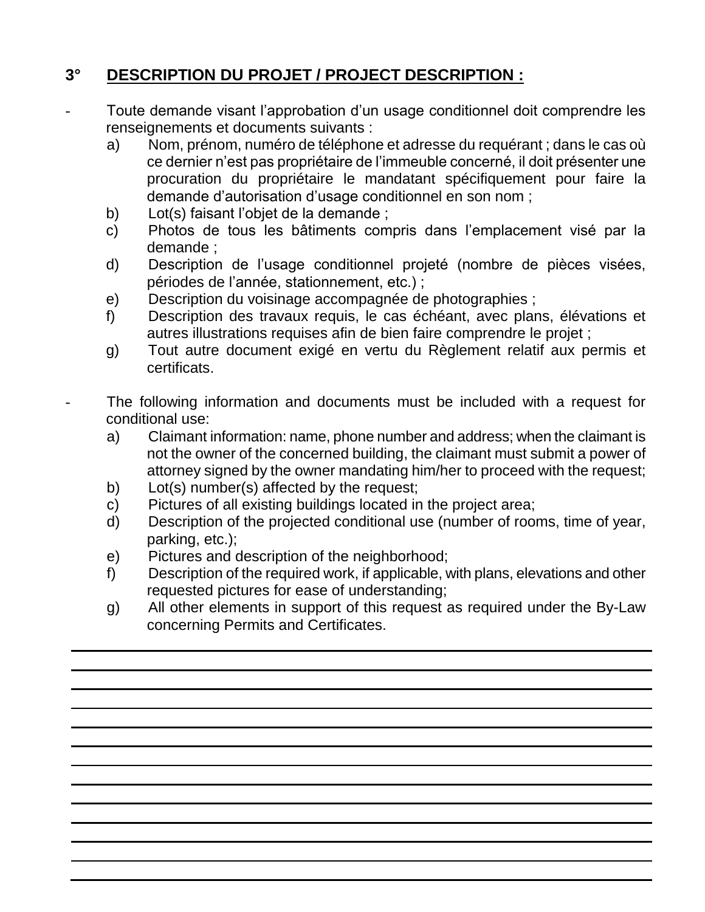## **3° DESCRIPTION DU PROJET / PROJECT DESCRIPTION :**

- Toute demande visant l'approbation d'un usage conditionnel doit comprendre les renseignements et documents suivants :
	- a) Nom, prénom, numéro de téléphone et adresse du requérant ; dans le cas où ce dernier n'est pas propriétaire de l'immeuble concerné, il doit présenter une procuration du propriétaire le mandatant spécifiquement pour faire la demande d'autorisation d'usage conditionnel en son nom ;
	- b) Lot(s) faisant l'objet de la demande ;
	- c) Photos de tous les bâtiments compris dans l'emplacement visé par la demande ;
	- d) Description de l'usage conditionnel projeté (nombre de pièces visées, périodes de l'année, stationnement, etc.) ;
	- e) Description du voisinage accompagnée de photographies ;
	- f) Description des travaux requis, le cas échéant, avec plans, élévations et autres illustrations requises afin de bien faire comprendre le projet ;
	- g) Tout autre document exigé en vertu du Règlement relatif aux permis et certificats.
- The following information and documents must be included with a request for conditional use:
	- a) Claimant information: name, phone number and address; when the claimant is not the owner of the concerned building, the claimant must submit a power of attorney signed by the owner mandating him/her to proceed with the request;
	- b) Lot(s) number(s) affected by the request;
	- c) Pictures of all existing buildings located in the project area;
	- d) Description of the projected conditional use (number of rooms, time of year, parking, etc.);
	- e) Pictures and description of the neighborhood;
	- f) Description of the required work, if applicable, with plans, elevations and other requested pictures for ease of understanding;
	- g) All other elements in support of this request as required under the By-Law concerning Permits and Certificates.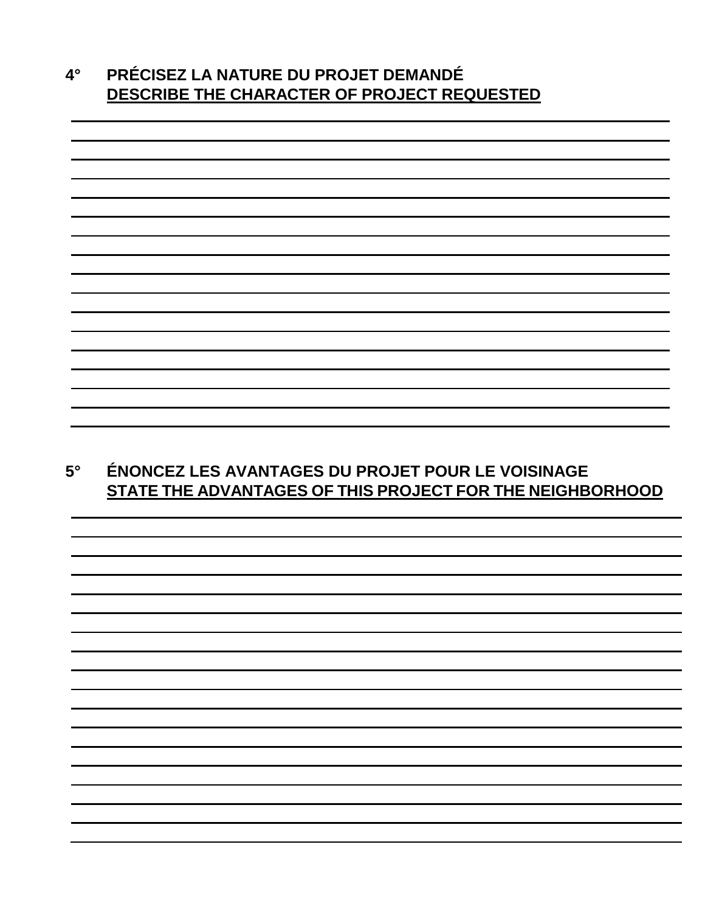| 4° | <b>PRÉCISEZ LA NATURE DU PROJET DEMANDÉ</b> |  |  |  |
|----|---------------------------------------------|--|--|--|
|    | DESCRIBE THE CHARACTER OF PROJECT REQUESTED |  |  |  |



## **5° ÉNONCEZ LES AVANTAGES DU PROJET POUR LE VOISINAGE STATE THE ADVANTAGES OF THIS PROJECT FOR THE NEIGHBORHOOD**